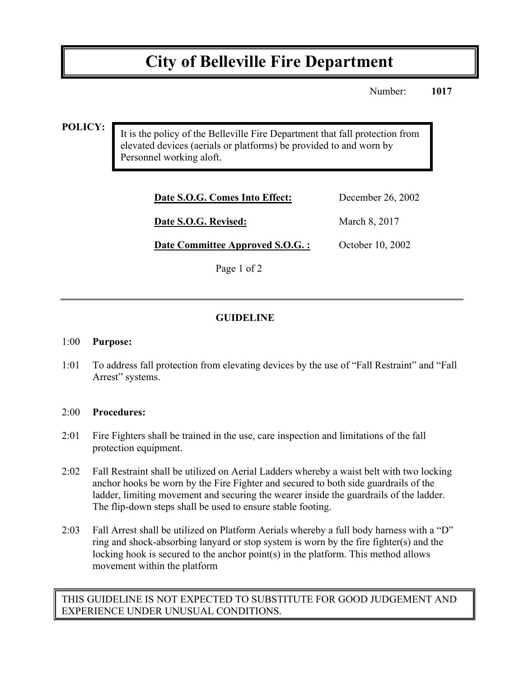# **City of Belleville Fire Department**

Number: **1017**

#### **POLICY:**

It is the policy of the Belleville Fire Department that fall protection from elevated devices (aerials or platforms) be provided to and worn by Personnel working aloft.

| Date S.O.G. Comes Into Effect:  | December 26, 2002 |
|---------------------------------|-------------------|
| Date S.O.G. Revised:            | March 8, 2017     |
| Date Committee Approved S.O.G.: | October 10, 2002  |

Page 1 of 2

### **GUIDELINE**

#### 1:00 **Purpose:**

1:01 To address fall protection from elevating devices by the use of "Fall Restraint" and "Fall Arrest" systems.

#### 2:00 **Procedures:**

- 2:01 Fire Fighters shall be trained in the use, care inspection and limitations of the fall protection equipment.
- 2:02 Fall Restraint shall be utilized on Aerial Ladders whereby a waist belt with two locking anchor hooks be worn by the Fire Fighter and secured to both side guardrails of the ladder, limiting movement and securing the wearer inside the guardrails of the ladder. The flip-down steps shall be used to ensure stable footing.
- 2:03 Fall Arrest shall be utilized on Platform Aerials whereby a full body harness with a "D" ring and shock-absorbing lanyard or stop system is worn by the fire fighter(s) and the locking hook is secured to the anchor point(s) in the platform. This method allows movement within the platform

THIS GUIDELINE IS NOT EXPECTED TO SUBSTITUTE FOR GOOD JUDGEMENT AND EXPERIENCE UNDER UNUSUAL CONDITIONS.